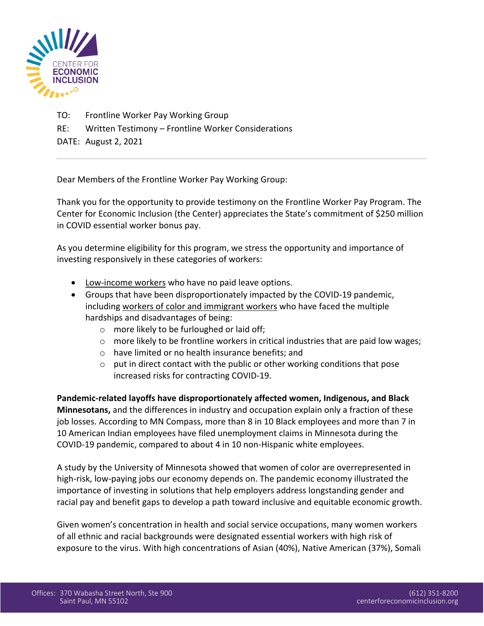

- TO: Frontline Worker Pay Working Group
- RE: Written Testimony Frontline Worker Considerations

DATE: August 2, 2021

Dear Members of the Frontline Worker Pay Working Group:

Thank you for the opportunity to provide testimony on the Frontline Worker Pay Program. The Center for Economic Inclusion (the Center) appreciates the State's commitment of \$250 million in COVID essential worker bonus pay.

As you determine eligibility for this program, we stress the opportunity and importance of investing responsively in these categories of workers:

- Low-income workers who have no paid leave options.
- Groups that have been disproportionately impacted by the COVID-19 pandemic, including workers of color and immigrant workers who have faced the multiple hardships and disadvantages of being:
	- o more likely to be furloughed or laid off;
	- $\circ$  more likely to be frontline workers in critical industries that are paid low wages;
	- o have limited or no health insurance benefits; and
	- $\circ$  put in direct contact with the public or other working conditions that pose increased risks for contracting COVID-19.

**Pandemic-related layoffs have disproportionately affected women, Indigenous, and Black Minnesotans,** and the differences in industry and occupation explain only a fraction of these job losses. According to MN Compass, more than 8 in 10 Black employees and more than 7 in 10 American Indian employees have filed unemployment claims in Minnesota during the COVID-19 pandemic, compared to about 4 in 10 non-Hispanic white employees.

A study by the University of Minnesota showed that women of color are overrepresented in high-risk, low-paying jobs our economy depends on. The pandemic economy illustrated the importance of investing in solutions that help employers address longstanding gender and racial pay and benefit gaps to develop a path toward inclusive and equitable economic growth.

Given women's concentration in health and social service occupations, many women workers of all ethnic and racial backgrounds were designated essential workers with high risk of exposure to the virus. With high concentrations of Asian (40%), Native American (37%), Somali